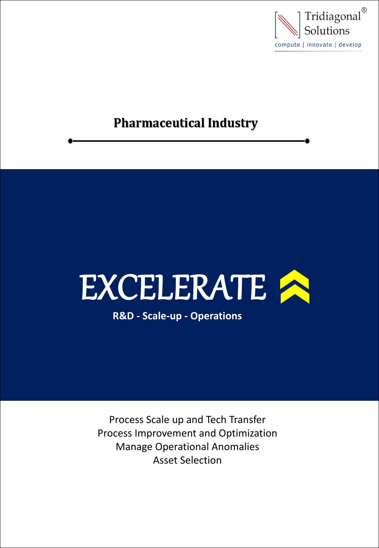

## **Pharmaceutical Industry**

# EXCELERATE A

**R&D - Scale-up - Operations**

Process Scale up and Tech Transfer Process Improvement and Optimization Manage Operational Anomalies Asset Selection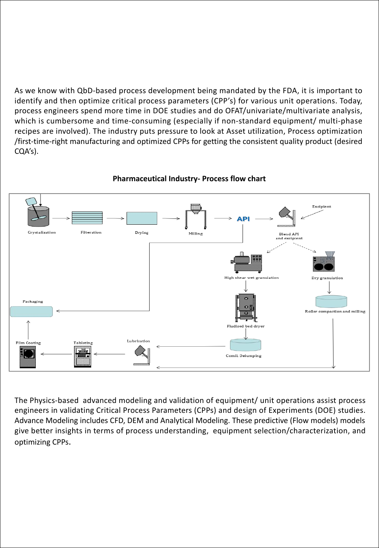As we know with QbD-based process development being mandated by the FDA, it is important to identify and then optimize critical process parameters (CPP's) for various unit operations. Today, process engineers spend more time in DOE studies and do OFAT/univariate/multivariate analysis, which is cumbersome and time-consuming (especially if non-standard equipment/ multi-phase recipes are involved). The industry puts pressure to look at Asset utilization, Process optimization /first-time-right manufacturing and optimized CPPs for getting the consistent quality product (desired CQA's).



#### **Pharmaceutical Industry- Process flow chart**

The Physics-based advanced modeling and validation of equipment/ unit operations assist process engineers in validating Critical Process Parameters (CPPs) and design of Experiments (DOE) studies. Advance Modeling includes CFD, DEM and Analytical Modeling. These predictive (Flow models) models give better insights in terms of process understanding, equipment selection/characterization, and optimizing CPPs.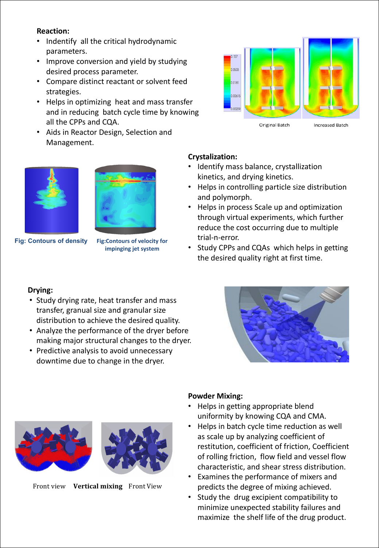#### **Reaction:**

- Indentify all the critical hydrodynamic parameters.
- Improve conversion and yield by studying  $\overline{\phantom{a}}$ desired process parameter.
- Compare distinct reactant or solvent feed strategies.
- Helps in optimizing heat and mass transfer and in reducing batch cycle time by knowing all the CPPs and CQA.
- Aids in Reactor Design, Selection and Management.





**Fig: Contours of density Fig:Contours of velocity for**



#### **Crystalization:**

- Identify mass balance, crystallization kinetics, and drying kinetics.
- Helps in controlling particle size distribution and polymorph.
- Helps in process Scale up and optimization through virtual experiments, which further reduce the cost occurring due to multiple trial-n-error.
- Study CPPs and CQAs which helps in getting **impinging jet system** the desired quality right at first time.

#### **Drying:**

- Study drying rate, heat transfer and mass transfer, granual size and granular size distribution to achieve the desired quality.
- Analyze the performance of the dryer before making major structural changes to the dryer.
- Predictive analysis to avoid unnecessary downtime due to change in the dryer.





#### **Powder Mixing:**

- Helps in getting appropriate blend uniformity by knowing CQA and CMA.
- Helps in batch cycle time reduction as well as scale up by analyzing coefficient of restitution, coefficient of friction, Coefficient of rolling friction, flow field and vessel flow characteristic, and shear stress distribution.
- Examines the performance of mixers and predicts the degree of mixing achieved.
- Study the drug excipient compatibility to minimize unexpected stability failures and Front view **Vertical mixing** Front View predicts the degree of mixing achieved.<br>
• Study the drug excipient compatibility to<br>
minimize unexpected stability failures and<br>
maximize the shelf life of the drug product.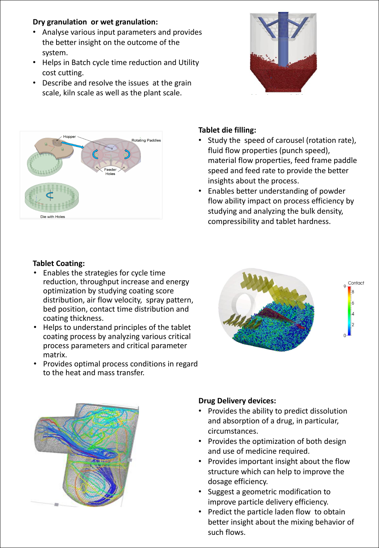#### **Dry granulation or wet granulation:**

- Analyse various input parameters and provides the better insight on the outcome of the system.
- Helps in Batch cycle time reduction and Utility cost cutting.
- Describe and resolve the issues at the grain scale, kiln scale as well as the plant scale.





#### **Tablet die filling:**

- Study the speed of carousel (rotation rate), fluid flow properties (punch speed), material flow properties, feed frame paddle speed and feed rate to provide the better insights about the process.
- Enables better understanding of powder flow ability impact on process efficiency by studying and analyzing the bulk density, compressibility and tablet hardness.

#### **Tablet Coating:**

- Enables the strategies for cycle time reduction, throughput increase and energy optimization by studying coating score distribution, air flow velocity, spray pattern, bed position, contact time distribution and coating thickness.
- Helps to understand principles of the tablet coating process by analyzing various critical process parameters and critical parameter matrix.
- Provides optimal process conditions in regard to the heat and mass transfer.





#### **Drug Delivery devices:**

- Provides the ability to predict dissolution and absorption of a drug, in particular, circumstances.
- Provides the optimization of both design and use of medicine required.
- Provides important insight about the flow structure which can help to improve the dosage efficiency.
- Suggest a geometric modification to improve particle delivery efficiency.
- Predict the particle laden flow to obtain better insight about the mixing behavior of such flows.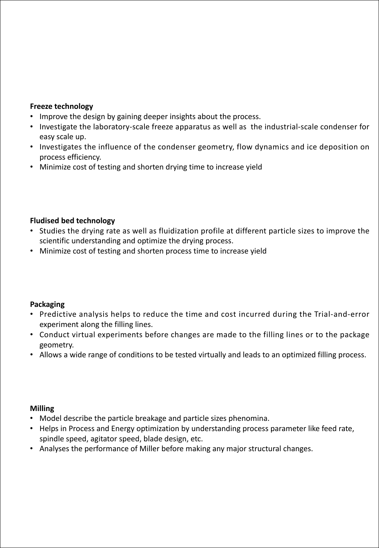#### **Freeze technology**

- Improve the design by gaining deeper insights about the process.
- Investigate the laboratory-scale freeze apparatus as well as the industrial-scale condenser for easy scale up.
- Investigates the influence of the condenser geometry, flow dynamics and ice deposition on process efficiency.
- Minimize cost of testing and shorten drying time to increase yield

#### **Fludised bed technology**

- Studies the drying rate as well as fluidization profile at different particle sizes to improve the scientific understanding and optimize the drying process.
- Minimize cost of testing and shorten process time to increase yield

#### **Packaging**

- Predictive analysis helps to reduce the time and cost incurred during the Trial-and-error experiment along the filling lines.
- Conduct virtual experiments before changes are made to the filling lines or to the package geometry.
- Allows a wide range of conditions to be tested virtually and leads to an optimized filling process.

#### **Milling**

- Model describe the particle breakage and particle sizes phenomina.
- Helps in Process and Energy optimization by understanding process parameter like feed rate, spindle speed, agitator speed, blade design, etc.
- Analyses the performance of Miller before making any major structural changes.